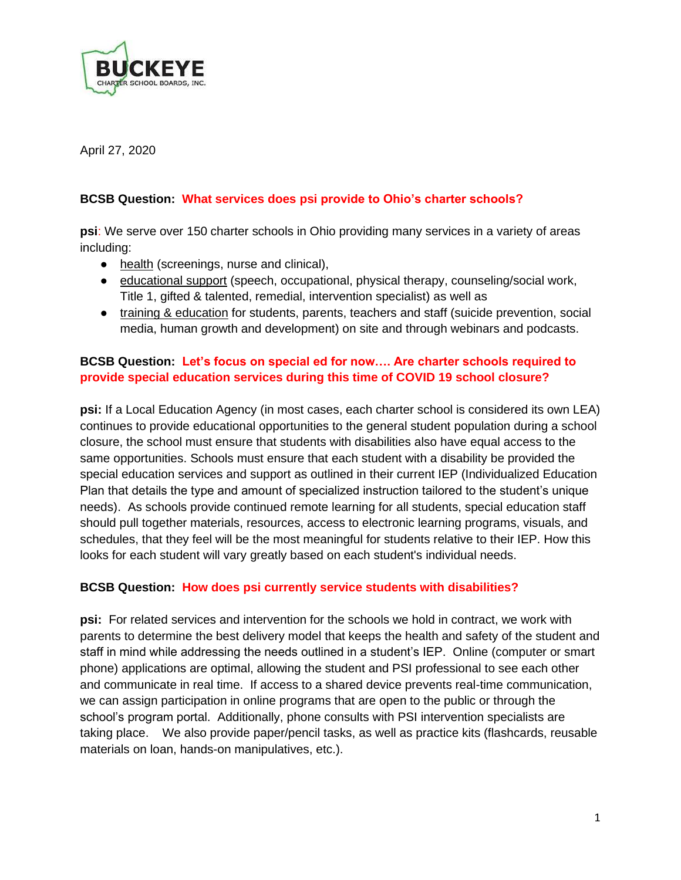

April 27, 2020

# **BCSB Question: What services does psi provide to Ohio's charter schools?**

**psi**: We serve over 150 charter schools in Ohio providing many services in a variety of areas including:

- health (screenings, nurse and clinical),
- educational support (speech, occupational, physical therapy, counseling/social work, Title 1, gifted & talented, remedial, intervention specialist) as well as
- training & education for students, parents, teachers and staff (suicide prevention, social media, human growth and development) on site and through webinars and podcasts.

# **BCSB Question: Let's focus on special ed for now…. Are charter schools required to provide special education services during this time of COVID 19 school closure?**

**psi:** If a Local Education Agency (in most cases, each charter school is considered its own LEA) continues to provide educational opportunities to the general student population during a school closure, the school must ensure that students with disabilities also have equal access to the same opportunities. Schools must ensure that each student with a disability be provided the special education services and support as outlined in their current IEP (Individualized Education Plan that details the type and amount of specialized instruction tailored to the student's unique needs). As schools provide continued remote learning for all students, special education staff should pull together materials, resources, access to electronic learning programs, visuals, and schedules, that they feel will be the most meaningful for students relative to their IEP. How this looks for each student will vary greatly based on each student's individual needs.

### **BCSB Question: How does psi currently service students with disabilities?**

**psi:** For related services and intervention for the schools we hold in contract, we work with parents to determine the best delivery model that keeps the health and safety of the student and staff in mind while addressing the needs outlined in a student's IEP. Online (computer or smart phone) applications are optimal, allowing the student and PSI professional to see each other and communicate in real time. If access to a shared device prevents real-time communication, we can assign participation in online programs that are open to the public or through the school's program portal. Additionally, phone consults with PSI intervention specialists are taking place. We also provide paper/pencil tasks, as well as practice kits (flashcards, reusable materials on loan, hands-on manipulatives, etc.).